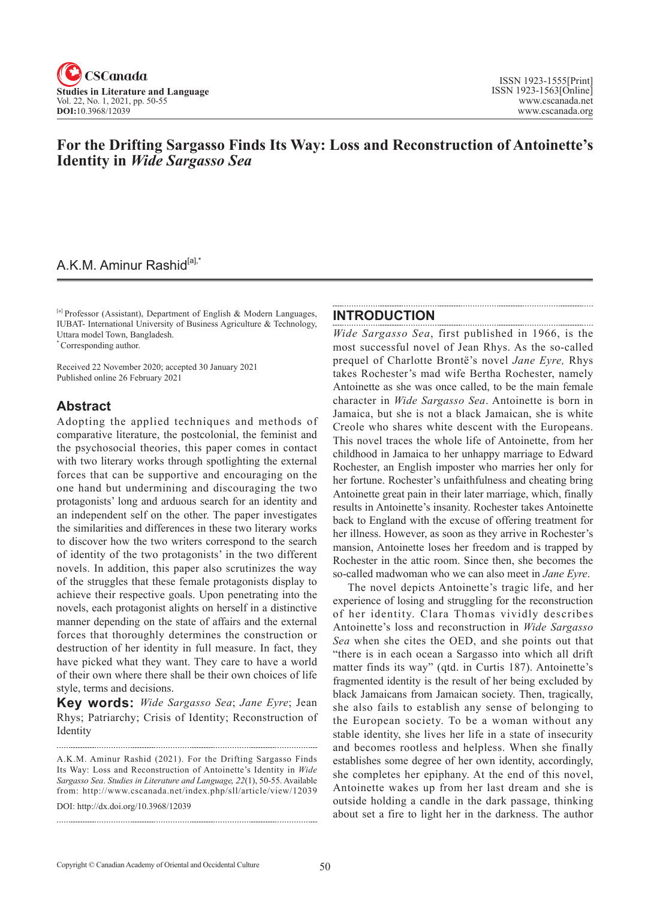

## **For the Drifting Sargasso Finds Its Way: Loss and Reconstruction of Antoinette's Identity in** *Wide Sargasso Sea*

## A.K.M. Aminur Rashid<sup>[a],'</sup>

[a] Professor (Assistant), Department of English & Modern Languages, IUBAT- International University of Business Agriculture & Technology, Uttara model Town, Bangladesh.

\* Corresponding author.

Received 22 November 2020; accepted 30 January 2021 Published online 26 February 2021

## **Abstract**

Adopting the applied techniques and methods of comparative literature, the postcolonial, the feminist and the psychosocial theories, this paper comes in contact with two literary works through spotlighting the external forces that can be supportive and encouraging on the one hand but undermining and discouraging the two protagonists' long and arduous search for an identity and an independent self on the other. The paper investigates the similarities and differences in these two literary works to discover how the two writers correspond to the search of identity of the two protagonists' in the two different novels. In addition, this paper also scrutinizes the way of the struggles that these female protagonists display to achieve their respective goals. Upon penetrating into the novels, each protagonist alights on herself in a distinctive manner depending on the state of affairs and the external forces that thoroughly determines the construction or destruction of her identity in full measure. In fact, they have picked what they want. They care to have a world of their own where there shall be their own choices of life style, terms and decisions.

**Key words:** *Wide Sargasso Sea*; *Jane Eyre*; Jean Rhys; Patriarchy; Crisis of Identity; Reconstruction of **Identity** 

DOI: http://dx.doi.org/10.3968/12039

### **INTRODUCTION**

*Wide Sargasso Sea*, first published in 1966, is the most successful novel of Jean Rhys. As the so-called prequel of Charlotte Brontë's novel *Jane Eyre,* Rhys takes Rochester's mad wife Bertha Rochester, namely Antoinette as she was once called, to be the main female character in *Wide Sargasso Sea*. Antoinette is born in Jamaica, but she is not a black Jamaican, she is white Creole who shares white descent with the Europeans. This novel traces the whole life of Antoinette, from her childhood in Jamaica to her unhappy marriage to Edward Rochester, an English imposter who marries her only for her fortune. Rochester's unfaithfulness and cheating bring Antoinette great pain in their later marriage, which, finally results in Antoinette's insanity. Rochester takes Antoinette back to England with the excuse of offering treatment for her illness. However, as soon as they arrive in Rochester's mansion, Antoinette loses her freedom and is trapped by Rochester in the attic room. Since then, she becomes the so-called madwoman who we can also meet in *Jane Eyre*.

The novel depicts Antoinette's tragic life, and her experience of losing and struggling for the reconstruction of her identity. Clara Thomas vividly describes Antoinette's loss and reconstruction in *Wide Sargasso Sea* when she cites the OED, and she points out that "there is in each ocean a Sargasso into which all drift matter finds its way" (qtd. in Curtis 187). Antoinette's fragmented identity is the result of her being excluded by black Jamaicans from Jamaican society. Then, tragically, she also fails to establish any sense of belonging to the European society. To be a woman without any stable identity, she lives her life in a state of insecurity and becomes rootless and helpless. When she finally establishes some degree of her own identity, accordingly, she completes her epiphany. At the end of this novel, Antoinette wakes up from her last dream and she is outside holding a candle in the dark passage, thinking about set a fire to light her in the darkness. The author

A.K.M. Aminur Rashid (2021). For the Drifting Sargasso Finds Its Way: Loss and Reconstruction of Antoinette's Identity in *Wide Sargasso Sea*. *Studies in Literature and Language*, <sup>2</sup>*2*(1), 50-55. Available from: http://www.cscanada.net/index.php/sll/article/view/12039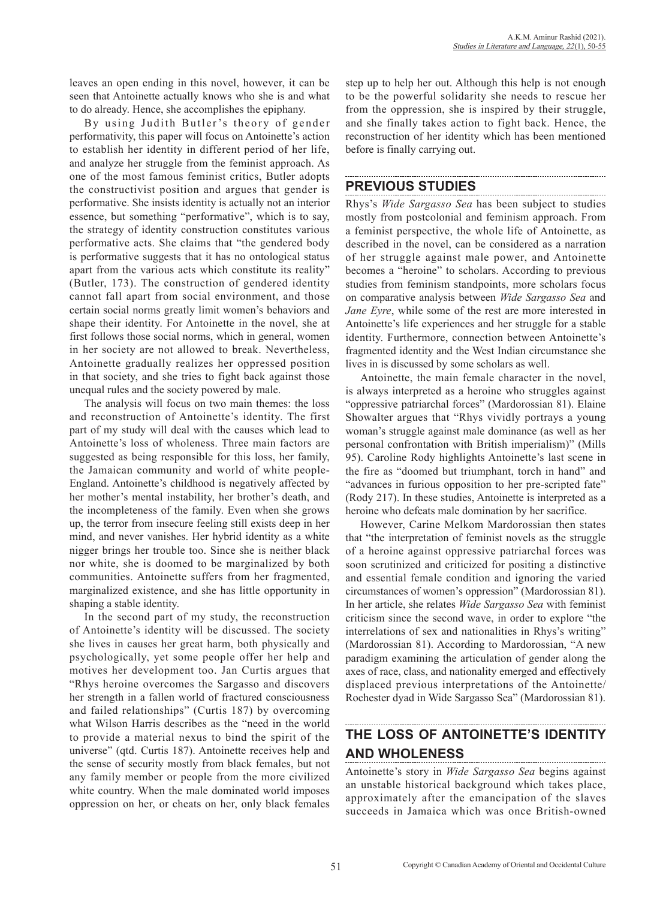leaves an open ending in this novel, however, it can be seen that Antoinette actually knows who she is and what to do already. Hence, she accomplishes the epiphany.

By using Judith Butler 's theory of gender performativity, this paper will focus on Antoinette's action to establish her identity in different period of her life, and analyze her struggle from the feminist approach. As one of the most famous feminist critics, Butler adopts the constructivist position and argues that gender is performative. She insists identity is actually not an interior essence, but something "performative", which is to say, the strategy of identity construction constitutes various performative acts. She claims that "the gendered body is performative suggests that it has no ontological status apart from the various acts which constitute its reality" (Butler, 173). The construction of gendered identity cannot fall apart from social environment, and those certain social norms greatly limit women's behaviors and shape their identity. For Antoinette in the novel, she at first follows those social norms, which in general, women in her society are not allowed to break. Nevertheless, Antoinette gradually realizes her oppressed position in that society, and she tries to fight back against those unequal rules and the society powered by male.

The analysis will focus on two main themes: the loss and reconstruction of Antoinette's identity. The first part of my study will deal with the causes which lead to Antoinette's loss of wholeness. Three main factors are suggested as being responsible for this loss, her family, the Jamaican community and world of white people-England. Antoinette's childhood is negatively affected by her mother's mental instability, her brother's death, and the incompleteness of the family. Even when she grows up, the terror from insecure feeling still exists deep in her mind, and never vanishes. Her hybrid identity as a white nigger brings her trouble too. Since she is neither black nor white, she is doomed to be marginalized by both communities. Antoinette suffers from her fragmented, marginalized existence, and she has little opportunity in shaping a stable identity.

In the second part of my study, the reconstruction of Antoinette's identity will be discussed. The society she lives in causes her great harm, both physically and psychologically, yet some people offer her help and motives her development too. Jan Curtis argues that "Rhys heroine overcomes the Sargasso and discovers her strength in a fallen world of fractured consciousness and failed relationships" (Curtis 187) by overcoming what Wilson Harris describes as the "need in the world to provide a material nexus to bind the spirit of the universe" (qtd. Curtis 187). Antoinette receives help and the sense of security mostly from black females, but not any family member or people from the more civilized white country. When the male dominated world imposes oppression on her, or cheats on her, only black females step up to help her out. Although this help is not enough to be the powerful solidarity she needs to rescue her from the oppression, she is inspired by their struggle, and she finally takes action to fight back. Hence, the reconstruction of her identity which has been mentioned before is finally carrying out.

## **PREVIOUS STUDIES**

Rhys's *Wide Sargasso Sea* has been subject to studies mostly from postcolonial and feminism approach. From a feminist perspective, the whole life of Antoinette, as described in the novel, can be considered as a narration of her struggle against male power, and Antoinette becomes a "heroine" to scholars. According to previous studies from feminism standpoints, more scholars focus on comparative analysis between *Wide Sargasso Sea* and *Jane Eyre*, while some of the rest are more interested in Antoinette's life experiences and her struggle for a stable identity. Furthermore, connection between Antoinette's fragmented identity and the West Indian circumstance she lives in is discussed by some scholars as well.

Antoinette, the main female character in the novel, is always interpreted as a heroine who struggles against "oppressive patriarchal forces" (Mardorossian 81). Elaine Showalter argues that "Rhys vividly portrays a young woman's struggle against male dominance (as well as her personal confrontation with British imperialism)" (Mills 95). Caroline Rody highlights Antoinette's last scene in the fire as "doomed but triumphant, torch in hand" and "advances in furious opposition to her pre-scripted fate" (Rody 217). In these studies, Antoinette is interpreted as a heroine who defeats male domination by her sacrifice.

However, Carine Melkom Mardorossian then states that "the interpretation of feminist novels as the struggle of a heroine against oppressive patriarchal forces was soon scrutinized and criticized for positing a distinctive and essential female condition and ignoring the varied circumstances of women's oppression" (Mardorossian 81). In her article, she relates *Wide Sargasso Sea* with feminist criticism since the second wave, in order to explore "the interrelations of sex and nationalities in Rhys's writing" (Mardorossian 81). According to Mardorossian, "A new paradigm examining the articulation of gender along the axes of race, class, and nationality emerged and effectively displaced previous interpretations of the Antoinette/ Rochester dyad in Wide Sargasso Sea" (Mardorossian 81).

# **THE LOSS OF ANTOINETTE'S IDENTITY AND WHOLENESS**

Antoinette's story in *Wide Sargasso Sea* begins against an unstable historical background which takes place, approximately after the emancipation of the slaves succeeds in Jamaica which was once British-owned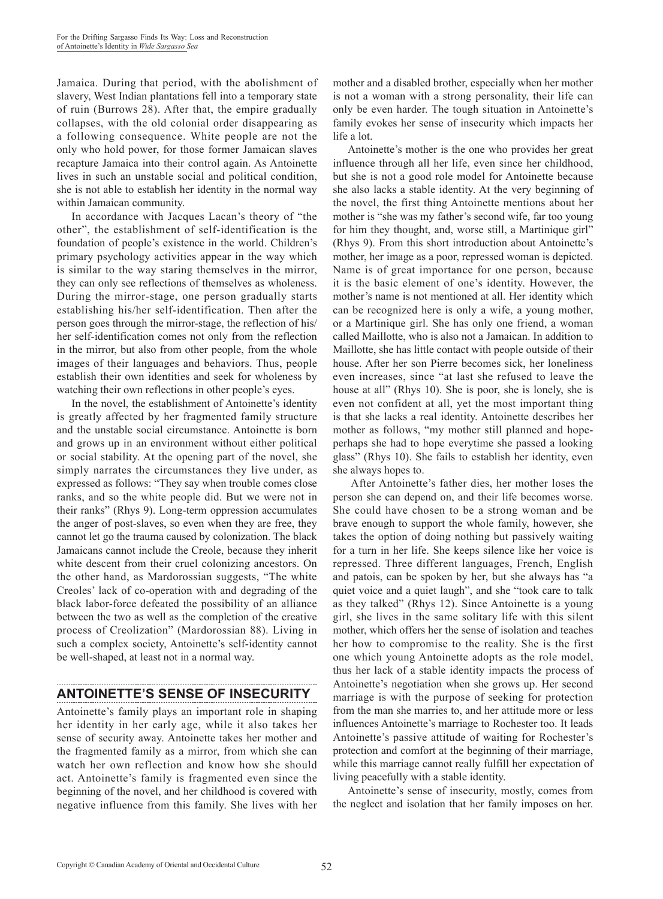Jamaica. During that period, with the abolishment of slavery, West Indian plantations fell into a temporary state of ruin (Burrows 28). After that, the empire gradually collapses, with the old colonial order disappearing as a following consequence. White people are not the only who hold power, for those former Jamaican slaves recapture Jamaica into their control again. As Antoinette lives in such an unstable social and political condition, she is not able to establish her identity in the normal way within Jamaican community.

In accordance with Jacques Lacan's theory of "the other", the establishment of self-identification is the foundation of people's existence in the world. Children's primary psychology activities appear in the way which is similar to the way staring themselves in the mirror, they can only see reflections of themselves as wholeness. During the mirror-stage, one person gradually starts establishing his/her self-identification. Then after the person goes through the mirror-stage, the reflection of his/ her self-identification comes not only from the reflection in the mirror, but also from other people, from the whole images of their languages and behaviors. Thus, people establish their own identities and seek for wholeness by watching their own reflections in other people's eyes.

In the novel, the establishment of Antoinette's identity is greatly affected by her fragmented family structure and the unstable social circumstance. Antoinette is born and grows up in an environment without either political or social stability. At the opening part of the novel, she simply narrates the circumstances they live under, as expressed as follows: "They say when trouble comes close ranks, and so the white people did. But we were not in their ranks" (Rhys 9). Long-term oppression accumulates the anger of post-slaves, so even when they are free, they cannot let go the trauma caused by colonization. The black Jamaicans cannot include the Creole, because they inherit white descent from their cruel colonizing ancestors. On the other hand, as Mardorossian suggests, "The white Creoles' lack of co-operation with and degrading of the black labor-force defeated the possibility of an alliance between the two as well as the completion of the creative process of Creolization" (Mardorossian 88). Living in such a complex society, Antoinette's self-identity cannot be well-shaped, at least not in a normal way.

## **ANTOINETTE'S SENSE OF INSECURITY**

Antoinette's family plays an important role in shaping her identity in her early age, while it also takes her sense of security away. Antoinette takes her mother and the fragmented family as a mirror, from which she can watch her own reflection and know how she should act. Antoinette's family is fragmented even since the beginning of the novel, and her childhood is covered with negative influence from this family. She lives with her mother and a disabled brother, especially when her mother is not a woman with a strong personality, their life can only be even harder. The tough situation in Antoinette's family evokes her sense of insecurity which impacts her life a lot.

Antoinette's mother is the one who provides her great influence through all her life, even since her childhood, but she is not a good role model for Antoinette because she also lacks a stable identity. At the very beginning of the novel, the first thing Antoinette mentions about her mother is "she was my father's second wife, far too young for him they thought, and, worse still, a Martinique girl" (Rhys 9). From this short introduction about Antoinette's mother, her image as a poor, repressed woman is depicted. Name is of great importance for one person, because it is the basic element of one's identity. However, the mother's name is not mentioned at all. Her identity which can be recognized here is only a wife, a young mother, or a Martinique girl. She has only one friend, a woman called Maillotte, who is also not a Jamaican. In addition to Maillotte, she has little contact with people outside of their house. After her son Pierre becomes sick, her loneliness even increases, since "at last she refused to leave the house at all" (Rhys 10). She is poor, she is lonely, she is even not confident at all, yet the most important thing is that she lacks a real identity. Antoinette describes her mother as follows, "my mother still planned and hopeperhaps she had to hope everytime she passed a looking glass" (Rhys 10). She fails to establish her identity, even she always hopes to.

 After Antoinette's father dies, her mother loses the person she can depend on, and their life becomes worse. She could have chosen to be a strong woman and be brave enough to support the whole family, however, she takes the option of doing nothing but passively waiting for a turn in her life. She keeps silence like her voice is repressed. Three different languages, French, English and patois, can be spoken by her, but she always has "a quiet voice and a quiet laugh", and she "took care to talk as they talked" (Rhys 12). Since Antoinette is a young girl, she lives in the same solitary life with this silent mother, which offers her the sense of isolation and teaches her how to compromise to the reality. She is the first one which young Antoinette adopts as the role model, thus her lack of a stable identity impacts the process of Antoinette's negotiation when she grows up. Her second marriage is with the purpose of seeking for protection from the man she marries to, and her attitude more or less influences Antoinette's marriage to Rochester too. It leads Antoinette's passive attitude of waiting for Rochester's protection and comfort at the beginning of their marriage, while this marriage cannot really fulfill her expectation of living peacefully with a stable identity.

Antoinette's sense of insecurity, mostly, comes from the neglect and isolation that her family imposes on her.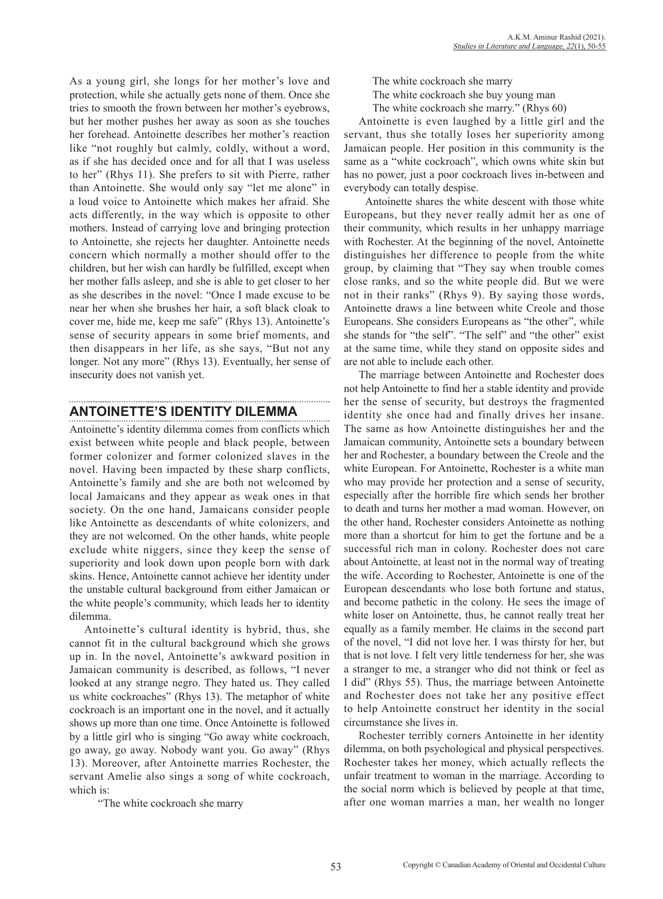As a young girl, she longs for her mother's love and protection, while she actually gets none of them. Once she tries to smooth the frown between her mother's eyebrows, but her mother pushes her away as soon as she touches her forehead. Antoinette describes her mother's reaction like "not roughly but calmly, coldly, without a word, as if she has decided once and for all that I was useless to her" (Rhys 11). She prefers to sit with Pierre, rather than Antoinette. She would only say "let me alone" in a loud voice to Antoinette which makes her afraid. She acts differently, in the way which is opposite to other mothers. Instead of carrying love and bringing protection to Antoinette, she rejects her daughter. Antoinette needs concern which normally a mother should offer to the children, but her wish can hardly be fulfilled, except when her mother falls asleep, and she is able to get closer to her as she describes in the novel: "Once I made excuse to be near her when she brushes her hair, a soft black cloak to cover me, hide me, keep me safe" (Rhys 13). Antoinette's sense of security appears in some brief moments, and then disappears in her life, as she says, "But not any longer. Not any more" (Rhys 13). Eventually, her sense of insecurity does not vanish yet.

#### **ANTOINETTE'S IDENTITY DILEMMA**

Antoinette's identity dilemma comes from conflicts which exist between white people and black people, between former colonizer and former colonized slaves in the novel. Having been impacted by these sharp conflicts, Antoinette's family and she are both not welcomed by local Jamaicans and they appear as weak ones in that society. On the one hand, Jamaicans consider people like Antoinette as descendants of white colonizers, and they are not welcomed. On the other hands, white people exclude white niggers, since they keep the sense of superiority and look down upon people born with dark skins. Hence, Antoinette cannot achieve her identity under the unstable cultural background from either Jamaican or the white people's community, which leads her to identity dilemma.

Antoinette's cultural identity is hybrid, thus, she cannot fit in the cultural background which she grows up in. In the novel, Antoinette's awkward position in Jamaican community is described, as follows, "I never looked at any strange negro. They hated us. They called us white cockroaches" (Rhys 13). The metaphor of white cockroach is an important one in the novel, and it actually shows up more than one time. Once Antoinette is followed by a little girl who is singing "Go away white cockroach, go away, go away. Nobody want you. Go away" (Rhys 13). Moreover, after Antoinette marries Rochester, the servant Amelie also sings a song of white cockroach, which is:

"The white cockroach she marry

 The white cockroach she marry The white cockroach she buy young man The white cockroach she marry." (Rhys 60)

Antoinette is even laughed by a little girl and the servant, thus she totally loses her superiority among Jamaican people. Her position in this community is the same as a "white cockroach", which owns white skin but has no power, just a poor cockroach lives in-between and everybody can totally despise.

 Antoinette shares the white descent with those white Europeans, but they never really admit her as one of their community, which results in her unhappy marriage with Rochester. At the beginning of the novel, Antoinette distinguishes her difference to people from the white group, by claiming that "They say when trouble comes close ranks, and so the white people did. But we were not in their ranks" (Rhys 9). By saying those words, Antoinette draws a line between white Creole and those Europeans. She considers Europeans as "the other", while she stands for "the self". "The self" and "the other" exist at the same time, while they stand on opposite sides and are not able to include each other.

The marriage between Antoinette and Rochester does not help Antoinette to find her a stable identity and provide her the sense of security, but destroys the fragmented identity she once had and finally drives her insane. The same as how Antoinette distinguishes her and the Jamaican community, Antoinette sets a boundary between her and Rochester, a boundary between the Creole and the white European. For Antoinette, Rochester is a white man who may provide her protection and a sense of security, especially after the horrible fire which sends her brother to death and turns her mother a mad woman. However, on the other hand, Rochester considers Antoinette as nothing more than a shortcut for him to get the fortune and be a successful rich man in colony. Rochester does not care about Antoinette, at least not in the normal way of treating the wife. According to Rochester, Antoinette is one of the European descendants who lose both fortune and status, and become pathetic in the colony. He sees the image of white loser on Antoinette, thus, he cannot really treat her equally as a family member. He claims in the second part of the novel, "I did not love her. I was thirsty for her, but that is not love. I felt very little tenderness for her, she was a stranger to me, a stranger who did not think or feel as I did" (Rhys 55). Thus, the marriage between Antoinette and Rochester does not take her any positive effect to help Antoinette construct her identity in the social circumstance she lives in.

Rochester terribly corners Antoinette in her identity dilemma, on both psychological and physical perspectives. Rochester takes her money, which actually reflects the unfair treatment to woman in the marriage. According to the social norm which is believed by people at that time, after one woman marries a man, her wealth no longer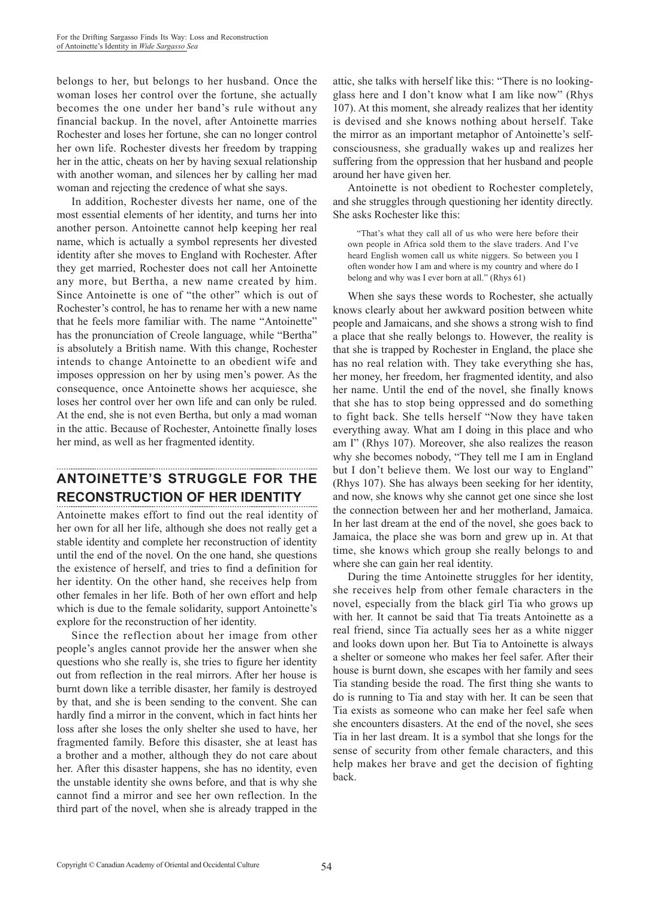belongs to her, but belongs to her husband. Once the woman loses her control over the fortune, she actually becomes the one under her band's rule without any financial backup. In the novel, after Antoinette marries Rochester and loses her fortune, she can no longer control her own life. Rochester divests her freedom by trapping her in the attic, cheats on her by having sexual relationship with another woman, and silences her by calling her mad woman and rejecting the credence of what she says.

In addition, Rochester divests her name, one of the most essential elements of her identity, and turns her into another person. Antoinette cannot help keeping her real name, which is actually a symbol represents her divested identity after she moves to England with Rochester. After they get married, Rochester does not call her Antoinette any more, but Bertha, a new name created by him. Since Antoinette is one of "the other" which is out of Rochester's control, he has to rename her with a new name that he feels more familiar with. The name "Antoinette" has the pronunciation of Creole language, while "Bertha" is absolutely a British name. With this change, Rochester intends to change Antoinette to an obedient wife and imposes oppression on her by using men's power. As the consequence, once Antoinette shows her acquiesce, she loses her control over her own life and can only be ruled. At the end, she is not even Bertha, but only a mad woman in the attic. Because of Rochester, Antoinette finally loses her mind, as well as her fragmented identity.

# **ANTOINETTE'S STRUGGLE FOR THE RECONSTRUCTION OF HER IDENTITY**

Antoinette makes effort to find out the real identity of her own for all her life, although she does not really get a stable identity and complete her reconstruction of identity until the end of the novel. On the one hand, she questions the existence of herself, and tries to find a definition for her identity. On the other hand, she receives help from other females in her life. Both of her own effort and help which is due to the female solidarity, support Antoinette's explore for the reconstruction of her identity.

Since the reflection about her image from other people's angles cannot provide her the answer when she questions who she really is, she tries to figure her identity out from reflection in the real mirrors. After her house is burnt down like a terrible disaster, her family is destroyed by that, and she is been sending to the convent. She can hardly find a mirror in the convent, which in fact hints her loss after she loses the only shelter she used to have, her fragmented family. Before this disaster, she at least has a brother and a mother, although they do not care about her. After this disaster happens, she has no identity, even the unstable identity she owns before, and that is why she cannot find a mirror and see her own reflection. In the third part of the novel, when she is already trapped in the attic, she talks with herself like this: "There is no lookingglass here and I don't know what I am like now" (Rhys 107). At this moment, she already realizes that her identity is devised and she knows nothing about herself. Take the mirror as an important metaphor of Antoinette's selfconsciousness, she gradually wakes up and realizes her suffering from the oppression that her husband and people around her have given her.

Antoinette is not obedient to Rochester completely, and she struggles through questioning her identity directly. She asks Rochester like this:

 "That's what they call all of us who were here before their own people in Africa sold them to the slave traders. And I've heard English women call us white niggers. So between you I often wonder how I am and where is my country and where do I belong and why was I ever born at all." (Rhys 61)

When she says these words to Rochester, she actually knows clearly about her awkward position between white people and Jamaicans, and she shows a strong wish to find a place that she really belongs to. However, the reality is that she is trapped by Rochester in England, the place she has no real relation with. They take everything she has, her money, her freedom, her fragmented identity, and also her name. Until the end of the novel, she finally knows that she has to stop being oppressed and do something to fight back. She tells herself "Now they have taken everything away. What am I doing in this place and who am I" (Rhys 107). Moreover, she also realizes the reason why she becomes nobody, "They tell me I am in England but I don't believe them. We lost our way to England" (Rhys 107). She has always been seeking for her identity, and now, she knows why she cannot get one since she lost the connection between her and her motherland, Jamaica. In her last dream at the end of the novel, she goes back to Jamaica, the place she was born and grew up in. At that time, she knows which group she really belongs to and where she can gain her real identity.

During the time Antoinette struggles for her identity, she receives help from other female characters in the novel, especially from the black girl Tia who grows up with her. It cannot be said that Tia treats Antoinette as a real friend, since Tia actually sees her as a white nigger and looks down upon her. But Tia to Antoinette is always a shelter or someone who makes her feel safer. After their house is burnt down, she escapes with her family and sees Tia standing beside the road. The first thing she wants to do is running to Tia and stay with her. It can be seen that Tia exists as someone who can make her feel safe when she encounters disasters. At the end of the novel, she sees Tia in her last dream. It is a symbol that she longs for the sense of security from other female characters, and this help makes her brave and get the decision of fighting back.